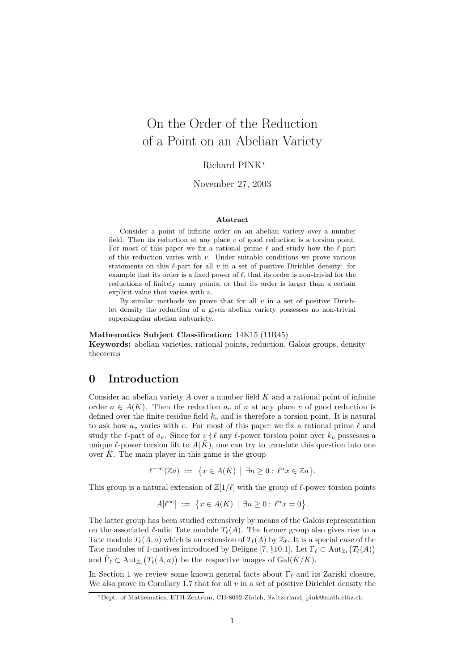# On the Order of the Reduction of a Point on an Abelian Variety

### Richard PINK<sup>∗</sup>

November 27, 2003

#### Abstract

Consider a point of infinite order on an abelian variety over a number field. Then its reduction at any place  $v$  of good reduction is a torsion point. For most of this paper we fix a rational prime  $\ell$  and study how the  $\ell$ -part of this reduction varies with  $v$ . Under suitable conditions we prove various statements on this  $\ell$ -part for all v in a set of positive Dirichlet density: for example that its order is a fixed power of  $\ell$ , that its order is non-trivial for the reductions of finitely many points, or that its order is larger than a certain explicit value that varies with v.

By similar methods we prove that for all  $v$  in a set of positive Dirichlet density the reduction of a given abelian variety possesses no non-trivial supersingular abelian subvariety.

#### Mathematics Subject Classification: 14K15 (11R45)

Keywords: abelian varieties, rational points, reduction, Galois groups, density theorems

## 0 Introduction

Consider an abelian variety  $A$  over a number field  $K$  and a rational point of infinite order  $a \in A(K)$ . Then the reduction  $a_v$  of a at any place v of good reduction is defined over the finite residue field  $k_v$  and is therefore a torsion point. It is natural to ask how  $a_v$  varies with v. For most of this paper we fix a rational prime  $\ell$  and study the  $\ell$ -part of  $a_v$ . Since for  $v \nmid \ell$  any  $\ell$ -power torsion point over  $\overline{k}_v$  possesses a unique  $\ell$ -power torsion lift to  $A(K)$ , one can try to translate this question into one over  $\bar{K}$ . The main player in this game is the group

$$
\ell^{-\infty}(\mathbb{Z}a) := \{ x \in A(\bar{K}) \mid \exists n \geq 0 : \ell^n x \in \mathbb{Z}a \}.
$$

This group is a natural extension of  $\mathbb{Z}[1/\ell]$  with the group of  $\ell$ -power torsion points

$$
A[\ell^{\infty}] := \{ x \in A(\bar{K}) \mid \exists n \ge 0 : \ell^{n} x = 0 \}.
$$

The latter group has been studied extensively by means of the Galois representation on the associated  $\ell$ -adic Tate module  $T_{\ell}(A)$ . The former group also gives rise to a Tate module  $T_{\ell}(A, a)$  which is an extension of  $T_{\ell}(A)$  by  $\mathbb{Z}_{\ell}$ . It is a special case of the Tate modules of 1-motives introduced by Deligne [7, §10.1]. Let  $\Gamma_\ell \subset \text{Aut}_{\mathbb{Z}_\ell}(T_\ell(A))$ and  $\tilde{\Gamma}_{\ell} \subset \text{Aut}_{\mathbb{Z}_{\ell}}(T_{\ell}(A, a))$  be the respective images of  $\text{Gal}(\bar{K}/K)$ .

In Section 1 we review some known general facts about  $\Gamma_\ell$  and its Zariski closure. We also prove in Corollary 1.7 that for all  $v$  in a set of positive Dirichlet density the

<sup>∗</sup>Dept. of Mathematics, ETH-Zentrum, CH-8092 Z¨urich, Switzerland, pink@math.ethz.ch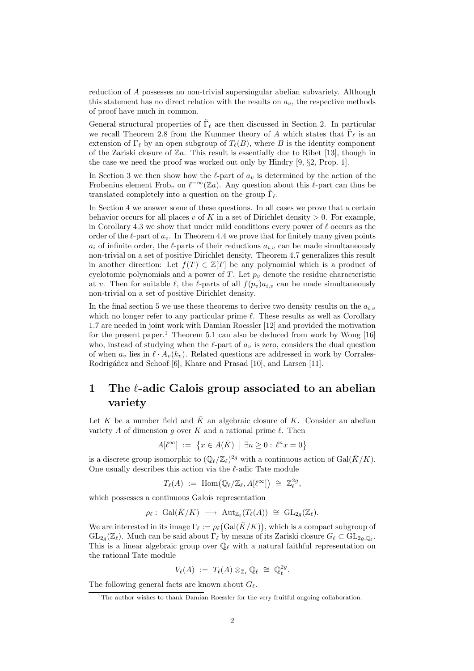reduction of A possesses no non-trivial supersingular abelian subvariety. Although this statement has no direct relation with the results on  $a_v$ , the respective methods of proof have much in common.

General structural properties of  $\tilde{\Gamma}_{\ell}$  are then discussed in Section 2. In particular we recall Theorem 2.8 from the Kummer theory of A which states that  $\tilde{\Gamma}_{\ell}$  is an extension of  $\Gamma_\ell$  by an open subgroup of  $T_\ell(B)$ , where B is the identity component of the Zariski closure of  $\mathbb{Z}a$ . This result is essentially due to Ribet [13], though in the case we need the proof was worked out only by Hindry [9, §2, Prop. 1].

In Section 3 we then show how the  $\ell$ -part of  $a_v$  is determined by the action of the Frobenius element Frob<sub>v</sub> on  $\ell^{-\infty}(\mathbb{Z}_a)$ . Any question about this  $\ell$ -part can thus be translated completely into a question on the group  $\tilde{\Gamma}_{\ell}$ .

In Section 4 we answer some of these questions. In all cases we prove that a certain behavior occurs for all places v of K in a set of Dirichlet density  $> 0$ . For example, in Corollary 4.3 we show that under mild conditions every power of  $\ell$  occurs as the order of the  $\ell$ -part of  $a_v$ . In Theorem 4.4 we prove that for finitely many given points  $a_i$  of infinite order, the  $\ell$ -parts of their reductions  $a_{i,v}$  can be made simultaneously non-trivial on a set of positive Dirichlet density. Theorem 4.7 generalizes this result in another direction: Let  $f(T) \in \mathbb{Z}[T]$  be any polynomial which is a product of cyclotomic polynomials and a power of T. Let  $p_v$  denote the residue characteristic at v. Then for suitable  $\ell$ , the  $\ell$ -parts of all  $f(p_v)a_i$ , can be made simultaneously non-trivial on a set of positive Dirichlet density.

In the final section 5 we use these theorems to derive two density results on the  $a_{i,v}$ which no longer refer to any particular prime  $\ell$ . These results as well as Corollary 1.7 are needed in joint work with Damian Roessler [12] and provided the motivation for the present paper.<sup>1</sup> Theorem 5.1 can also be deduced from work by Wong  $[16]$ who, instead of studying when the  $\ell$ -part of  $a_v$  is zero, considers the dual question of when  $a_v$  lies in  $\ell \cdot A_v(k_v)$ . Related questions are addressed in work by Corrales-Rodrigáñez and Schoof [6], Khare and Prasad [10], and Larsen [11].

## 1 The  $\ell$ -adic Galois group associated to an abelian variety

Let K be a number field and  $\bar{K}$  an algebraic closure of K. Consider an abelian variety A of dimension g over K and a rational prime  $\ell$ . Then

$$
A[\ell^{\infty}] := \{ x \in A(\bar{K}) \mid \exists n \ge 0 : \ell^n x = 0 \}
$$

is a discrete group isomorphic to  $(\mathbb{Q}_{\ell}/\mathbb{Z}_{\ell})^{2g}$  with a continuous action of  $Gal(\bar{K}/K)$ . One usually describes this action via the  $\ell$ -adic Tate module

$$
T_{\ell}(A) := \text{Hom}(\mathbb{Q}_{\ell}/\mathbb{Z}_{\ell}, A[\ell^{\infty}]) \cong \mathbb{Z}_{\ell}^{2g},
$$

which possesses a continuous Galois representation

$$
\rho_{\ell}: \ \mathrm{Gal}(\bar{K}/K) \ \longrightarrow \ \mathrm{Aut}_{{\mathbb Z}_{\ell}}(T_{\ell}(A)) \ \cong \ \mathrm{GL}_{2g}({\mathbb Z}_{\ell}).
$$

We are interested in its image  $\Gamma_\ell := \rho_\ell(\text{Gal}(\bar{K}/K))$ , which is a compact subgroup of  $GL_{2g}(\mathbb{Z}_\ell)$ . Much can be said about  $\Gamma_\ell$  by means of its Zariski closure  $G_\ell \subset GL_{2g,\mathbb{Q}_\ell}$ . This is a linear algebraic group over  $\mathbb{Q}_\ell$  with a natural faithful representation on the rational Tate module

$$
V_{\ell}(A) := T_{\ell}(A) \otimes_{\mathbb{Z}_{\ell}} \mathbb{Q}_{\ell} \cong \mathbb{Q}_{\ell}^{2g}.
$$

The following general facts are known about  $G_{\ell}$ .

<sup>&</sup>lt;sup>1</sup>The author wishes to thank Damian Roessler for the very fruitful ongoing collaboration.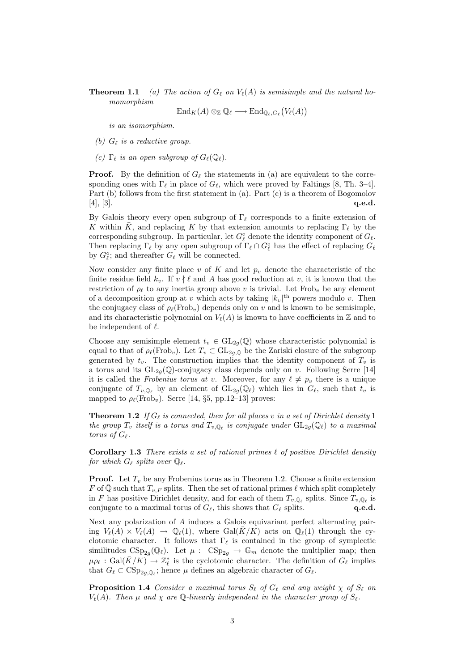**Theorem 1.1** (a) The action of  $G_\ell$  on  $V_\ell(A)$  is semisimple and the natural homomorphism

$$
\operatorname{End}_K(A) \otimes_{\mathbb{Z}} \mathbb{Q}_{\ell} \longrightarrow \operatorname{End}_{\mathbb{Q}_{\ell},G_{\ell}}(V_{\ell}(A))
$$

is an isomorphism.

- (b)  $G_{\ell}$  is a reductive group.
- (c)  $\Gamma_{\ell}$  is an open subgroup of  $G_{\ell}(\mathbb{Q}_{\ell}).$

**Proof.** By the definition of  $G_\ell$  the statements in (a) are equivalent to the corresponding ones with  $\Gamma_\ell$  in place of  $G_\ell$ , which were proved by Faltings [8, Th. 3–4]. Part (b) follows from the first statement in (a). Part (c) is a theorem of Bogomolov  $[4], [3].$  q.e.d.

By Galois theory every open subgroup of  $\Gamma_\ell$  corresponds to a finite extension of K within  $\bar{K}$ , and replacing K by that extension amounts to replacing  $\Gamma_{\ell}$  by the corresponding subgroup. In particular, let  $G_{\ell}^{\circ}$  denote the identity component of  $G_{\ell}$ . Then replacing  $\Gamma_\ell$  by any open subgroup of  $\Gamma_\ell \cap G_\ell^\circ$  has the effect of replacing  $G_\ell$ by  $G_{\ell}^{\circ}$ ; and thereafter  $G_{\ell}$  will be connected.

Now consider any finite place v of K and let  $p_v$  denote the characteristic of the finite residue field  $k_v$ . If  $v \nmid \ell$  and A has good reduction at v, it is known that the restriction of  $\rho_{\ell}$  to any inertia group above v is trivial. Let Frob<sub>v</sub> be any element of a decomposition group at v which acts by taking  $|k_v|$ <sup>th</sup> powers modulo v. Then the conjugacy class of  $\rho_\ell(Frob_v)$  depends only on v and is known to be semisimple, and its characteristic polynomial on  $V_{\ell}(A)$  is known to have coefficients in Z and to be independent of  $\ell$ .

Choose any semisimple element  $t_v \in GL_{2q}(\mathbb{Q})$  whose characteristic polynomial is equal to that of  $\rho_{\ell}(\text{Frob}_{v})$ . Let  $T_v \subset GL_{2g,\mathbb{Q}}$  be the Zariski closure of the subgroup generated by  $t_v$ . The construction implies that the identity component of  $T_v$  is a torus and its  $GL_{2q}(\mathbb{Q})$ -conjugacy class depends only on v. Following Serre [14] it is called the Frobenius torus at v. Moreover, for any  $\ell \neq p_v$  there is a unique conjugate of  $T_{v,\mathbb{Q}_\ell}$  by an element of  $GL_{2g}(\mathbb{Q}_\ell)$  which lies in  $G_\ell$ , such that  $t_v$  is mapped to  $\rho_{\ell}(\text{Frob}_{v})$ . Serre [14, §5, pp.12–13] proves:

**Theorem 1.2** If  $G_\ell$  is connected, then for all places v in a set of Dirichlet density 1 the group  $T_v$  itself is a torus and  $T_{v,\mathbb{Q}_\ell}$  is conjugate under  $GL_{2g}(\mathbb{Q}_\ell)$  to a maximal torus of  $G_{\ell}$ .

Corollary 1.3 There exists a set of rational primes  $\ell$  of positive Dirichlet density for which  $G_{\ell}$  splits over  $\mathbb{Q}_{\ell}$ .

**Proof.** Let  $T_v$  be any Frobenius torus as in Theorem 1.2. Choose a finite extension F of  $\overline{Q}$  such that  $T_{v,F}$  splits. Then the set of rational primes  $\ell$  which split completely in F has positive Dirichlet density, and for each of them  $T_{v,\mathbb{Q}_\ell}$  splits. Since  $T_{v,\mathbb{Q}_\ell}$  is conjugate to a maximal torus of  $G_{\ell}$ , this shows that  $G_{\ell}$  splits.  $q.e.d.$ 

Next any polarization of A induces a Galois equivariant perfect alternating pairing  $V_{\ell}(A) \times V_{\ell}(A) \rightarrow \mathbb{Q}_{\ell}(1)$ , where  $Gal(\bar{K}/K)$  acts on  $\mathbb{Q}_{\ell}(1)$  through the cyclotomic character. It follows that  $\Gamma_\ell$  is contained in the group of symplectic similitudes  $\text{CSp}_{2g}(\mathbb{Q}_\ell)$ . Let  $\mu$ :  $\text{CSp}_{2g} \to \mathbb{G}_m$  denote the multiplier map; then  $\mu \rho_{\ell} : \text{Gal}(\bar{K}/K) \to \mathbb{Z}_{\ell}^{*}$  is the cyclotomic character. The definition of  $G_{\ell}$  implies that  $G_{\ell} \subset \text{CSp}_{2g,\mathbb{Q}_{\ell}}$ ; hence  $\mu$  defines an algebraic character of  $G_{\ell}$ .

**Proposition 1.4** Consider a maximal torus  $S_\ell$  of  $G_\ell$  and any weight  $\chi$  of  $S_\ell$  on  $V_{\ell}(A)$ . Then  $\mu$  and  $\chi$  are Q-linearly independent in the character group of  $S_{\ell}$ .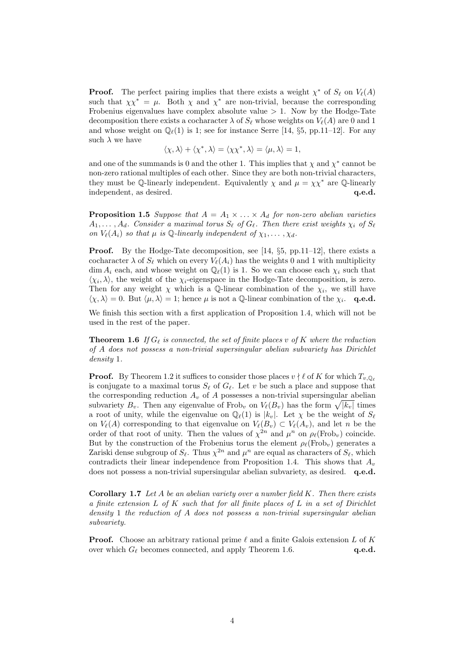**Proof.** The perfect pairing implies that there exists a weight  $\chi^*$  of  $S_\ell$  on  $V_\ell(A)$ such that  $\chi \chi^* = \mu$ . Both  $\chi$  and  $\chi^*$  are non-trivial, because the corresponding Frobenius eigenvalues have complex absolute value  $> 1$ . Now by the Hodge-Tate decomposition there exists a cocharacter  $\lambda$  of  $S_\ell$  whose weights on  $V_\ell(A)$  are 0 and 1 and whose weight on  $\mathbb{Q}_{\ell}(1)$  is 1; see for instance Serre [14, §5, pp.11–12]. For any such  $\lambda$  we have

$$
\langle \chi, \lambda \rangle + \langle \chi^*, \lambda \rangle = \langle \chi \chi^*, \lambda \rangle = \langle \mu, \lambda \rangle = 1,
$$

and one of the summands is 0 and the other 1. This implies that  $\chi$  and  $\chi^*$  cannot be non-zero rational multiples of each other. Since they are both non-trivial characters, they must be Q-linearly independent. Equivalently  $\chi$  and  $\mu = \chi \chi^*$  are Q-linearly independent, as desired.  $q.e.d.$ 

**Proposition 1.5** Suppose that  $A = A_1 \times ... \times A_d$  for non-zero abelian varieties  $A_1, \ldots, A_d$ . Consider a maximal torus  $S_\ell$  of  $G_\ell$ . Then there exist weights  $\chi_i$  of  $S_\ell$ on  $V_{\ell}(A_i)$  so that  $\mu$  is Q-linearly independent of  $\chi_1, \ldots, \chi_d$ .

**Proof.** By the Hodge-Tate decomposition, see [14,  $\S5$ , pp.11–12], there exists a cocharacter  $\lambda$  of  $S_\ell$  which on every  $V_\ell(A_i)$  has the weights 0 and 1 with multiplicity dim  $A_i$  each, and whose weight on  $\mathbb{Q}_\ell(1)$  is 1. So we can choose each  $\chi_i$  such that  $\langle \chi_i, \lambda \rangle$ , the weight of the  $\chi_i$ -eigenspace in the Hodge-Tate decomposition, is zero. Then for any weight  $\chi$  which is a Q-linear combination of the  $\chi_i$ , we still have  $\langle \chi, \lambda \rangle = 0$ . But  $\langle \mu, \lambda \rangle = 1$ ; hence  $\mu$  is not a Q-linear combination of the  $\chi_i$ . **q.e.d.** 

We finish this section with a first application of Proposition 1.4, which will not be used in the rest of the paper.

**Theorem 1.6** If  $G_\ell$  is connected, the set of finite places v of K where the reduction of A does not possess a non-trivial supersingular abelian subvariety has Dirichlet density 1.

**Proof.** By Theorem 1.2 it suffices to consider those places  $v \nmid \ell$  of K for which  $T_{v,\mathbb{Q}_{\ell}}$ is conjugate to a maximal torus  $S_\ell$  of  $G_\ell$ . Let v be such a place and suppose that the corresponding reduction  $A_v$  of A possesses a non-trivial supersingular abelian subvariety  $B_v$ . Then any eigenvalue of Frob<sub>v</sub> on  $V_{\ell}(B_v)$  has the form  $\sqrt{|k_v|}$  times a root of unity, while the eigenvalue on  $\mathbb{Q}_{\ell}(1)$  is  $|k_v|$ . Let  $\chi$  be the weight of  $S_{\ell}$ on  $V_{\ell}(A)$  corresponding to that eigenvalue on  $V_{\ell}(B_v) \subset V_{\ell}(A_v)$ , and let n be the order of that root of unity. Then the values of  $\chi^{2n}$  and  $\mu^n$  on  $\rho_\ell(\text{Frob}_v)$  coincide. But by the construction of the Frobenius torus the element  $\rho_{\ell}(\text{Frob}_{v})$  generates a Zariski dense subgroup of  $S_{\ell}$ . Thus  $\chi^{2n}$  and  $\mu^{n}$  are equal as characters of  $S_{\ell}$ , which contradicts their linear independence from Proposition 1.4. This shows that  $A_v$ does not possess a non-trivial supersingular abelian subvariety, as desired. q.e.d.

**Corollary 1.7** Let A be an abelian variety over a number field  $K$ . Then there exists a finite extension  $L$  of  $K$  such that for all finite places of  $L$  in a set of Dirichlet density 1 the reduction of A does not possess a non-trivial supersingular abelian subvariety.

**Proof.** Choose an arbitrary rational prime  $\ell$  and a finite Galois extension L of K over which  $G_{\ell}$  becomes connected, and apply Theorem 1.6.  $q.e.d.$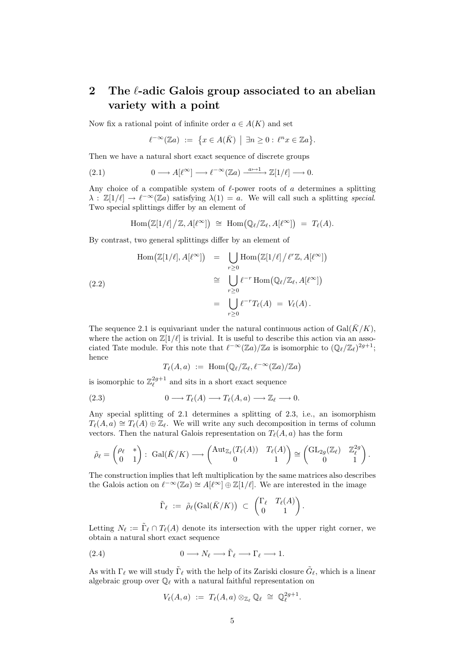## 2 The  $\ell$ -adic Galois group associated to an abelian variety with a point

Now fix a rational point of infinite order  $a \in A(K)$  and set

$$
\ell^{-\infty}(\mathbb{Z}a) := \{ x \in A(\bar{K}) \mid \exists n \geq 0 : \ell^n x \in \mathbb{Z}a \}.
$$

Then we have a natural short exact sequence of discrete groups

(2.1) 
$$
0 \longrightarrow A[\ell^{\infty}] \longrightarrow \ell^{-\infty}(\mathbb{Z}a) \xrightarrow{a \mapsto 1} \mathbb{Z}[1/\ell] \longrightarrow 0.
$$

Any choice of a compatible system of  $\ell$ -power roots of a determines a splitting  $\lambda : \mathbb{Z}[1/\ell] \to \ell^{-\infty}(\mathbb{Z}a)$  satisfying  $\lambda(1) = a$ . We will call such a splitting special. Two special splittings differ by an element of

$$
\mathrm{Hom}\big(\mathbb{Z}[1/\ell]\big/\mathbb{Z}, A[\ell^{\infty}]\big) \;\cong\; \mathrm{Hom}\big(\mathbb{Q}_{\ell}/\mathbb{Z}_{\ell}, A[\ell^{\infty}]\big) \;=\; T_{\ell}(A).
$$

By contrast, two general splittings differ by an element of

$$
\text{Hom}\big(\mathbb{Z}[1/\ell], A[\ell^{\infty}]\big) = \bigcup_{r\geq 0} \text{Hom}\big(\mathbb{Z}[1/\ell] / \ell^r \mathbb{Z}, A[\ell^{\infty}]\big)
$$
\n
$$
\cong \bigcup_{r\geq 0} \ell^{-r} \text{Hom}\big(\mathbb{Q}_{\ell}/\mathbb{Z}_{\ell}, A[\ell^{\infty}]\big)
$$
\n
$$
= \bigcup_{r\geq 0} \ell^{-r} T_{\ell}(A) = V_{\ell}(A).
$$

The sequence 2.1 is equivariant under the natural continuous action of Gal( $\bar{K}/K$ ), where the action on  $\mathbb{Z}[1/\ell]$  is trivial. It is useful to describe this action via an associated Tate module. For this note that  $\ell^{-\infty}(\mathbb{Z}a)/\mathbb{Z}a$  is isomorphic to  $(\mathbb{Q}_{\ell}/\mathbb{Z}_{\ell})^{2g+1}$ ; hence

$$
T_{\ell}(A,a) \ := \ \operatorname{Hom} \bigl( \mathbb{Q}_{\ell} / \mathbb{Z}_{\ell}, \ell^{-\infty}(\mathbb{Z} a) / \mathbb{Z} a \bigr)
$$

is isomorphic to  $\mathbb{Z}_{\ell}^{2g+1}$  and sits in a short exact sequence

(2.3) 
$$
0 \longrightarrow T_{\ell}(A) \longrightarrow T_{\ell}(A, a) \longrightarrow \mathbb{Z}_{\ell} \longrightarrow 0.
$$

Any special splitting of 2.1 determines a splitting of 2.3, i.e., an isomorphism  $T_{\ell}(A, a) \cong T_{\ell}(A) \oplus \mathbb{Z}_{\ell}$ . We will write any such decomposition in terms of column vectors. Then the natural Galois representation on  $T_{\ell}(A, a)$  has the form

$$
\tilde{\rho}_{\ell} = \begin{pmatrix} \rho_{\ell} & * \\ 0 & 1 \end{pmatrix} : \ \mathrm{Gal}(\bar{K}/K) \longrightarrow \begin{pmatrix} \mathrm{Aut}_{\mathbb{Z}_{\ell}}(T_{\ell}(A)) & T_{\ell}(A) \\ 0 & 1 \end{pmatrix} \cong \begin{pmatrix} \mathrm{GL}_{2g}(\mathbb{Z}_{\ell}) & \mathbb{Z}_{\ell}^{2g} \\ 0 & 1 \end{pmatrix}.
$$

The construction implies that left multiplication by the same matrices also describes the Galois action on  $\ell^{-\infty}(\mathbb{Z}a) \cong A[\ell^{\infty}] \oplus \mathbb{Z}[1/\ell].$  We are interested in the image

$$
\tilde{\Gamma}_{\ell} \ := \ \tilde{\rho}_{\ell} \big( \mathrm{Gal}(\bar{K}/K) \big) \ \subset \ \begin{pmatrix} \Gamma_{\ell} & T_{\ell}(A) \\ 0 & 1 \end{pmatrix}.
$$

Letting  $N_{\ell} := \tilde{\Gamma}_{\ell} \cap T_{\ell}(A)$  denote its intersection with the upper right corner, we obtain a natural short exact sequence

(2.4) 
$$
0 \longrightarrow N_{\ell} \longrightarrow \tilde{\Gamma}_{\ell} \longrightarrow \Gamma_{\ell} \longrightarrow 1.
$$

As with  $\Gamma_\ell$  we will study  $\tilde{\Gamma}_\ell$  with the help of its Zariski closure  $\tilde{G}_\ell$ , which is a linear algebraic group over  $\mathbb{Q}_\ell$  with a natural faithful representation on

$$
V_{\ell}(A,a) := T_{\ell}(A,a) \otimes_{\mathbb{Z}_{\ell}} \mathbb{Q}_{\ell} \cong \mathbb{Q}_{\ell}^{2g+1}.
$$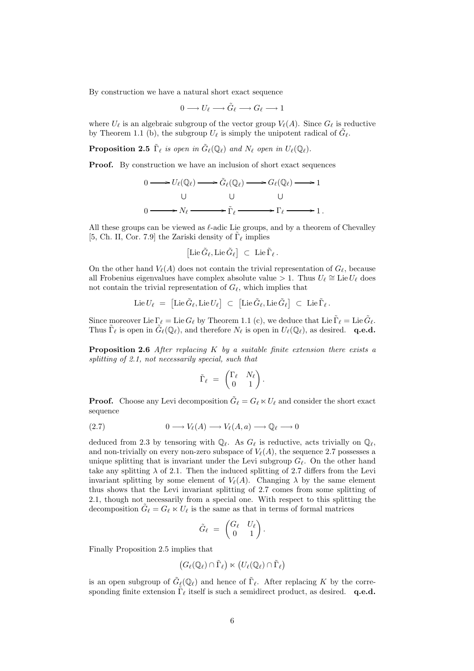By construction we have a natural short exact sequence

$$
0 \longrightarrow U_{\ell} \longrightarrow \tilde{G}_{\ell} \longrightarrow G_{\ell} \longrightarrow 1
$$

where  $U_{\ell}$  is an algebraic subgroup of the vector group  $V_{\ell}(A)$ . Since  $G_{\ell}$  is reductive by Theorem 1.1 (b), the subgroup  $U_{\ell}$  is simply the unipotent radical of  $\tilde{G}_{\ell}$ .

**Proposition 2.5**  $\tilde{\Gamma}_{\ell}$  is open in  $\tilde{G}_{\ell}(\mathbb{Q}_{\ell})$  and  $N_{\ell}$  open in  $U_{\ell}(\mathbb{Q}_{\ell})$ .

**Proof.** By construction we have an inclusion of short exact sequences

$$
0 \longrightarrow U_{\ell}(\mathbb{Q}_{\ell}) \longrightarrow \tilde{G}_{\ell}(\mathbb{Q}_{\ell}) \longrightarrow G_{\ell}(\mathbb{Q}_{\ell}) \longrightarrow 1
$$
  
\n
$$
0 \longrightarrow N_{\ell} \longrightarrow \tilde{\Gamma}_{\ell} \longrightarrow \Gamma_{\ell} \longrightarrow 1.
$$

All these groups can be viewed as  $\ell$ -adic Lie groups, and by a theorem of Chevalley [5, Ch. II, Cor. 7.9] the Zariski density of  $\tilde{\Gamma}_{\ell}$  implies

$$
\left[\mathrm{Lie}\,\tilde{G}_{\ell},\mathrm{Lie}\,\tilde{G}_{\ell}\right] \;\subset\; \mathrm{Lie}\,\tilde{\Gamma}_{\ell}\,.
$$

On the other hand  $V_{\ell}(A)$  does not contain the trivial representation of  $G_{\ell}$ , because all Frobenius eigenvalues have complex absolute value > 1. Thus  $U_\ell \cong \text{Lie }U_\ell$  does not contain the trivial representation of  $G_{\ell}$ , which implies that

$$
\operatorname{Lie} U_\ell \,\, = \,\, \left[ \operatorname{Lie} \tilde{G}_\ell, \operatorname{Lie} U_\ell \right] \,\, \subset \,\, \left[ \operatorname{Lie} \tilde{G}_\ell, \operatorname{Lie} \tilde{G}_\ell \right] \,\, \subset \,\, \operatorname{Lie} \tilde{\Gamma}_\ell \, .
$$

Since moreover Lie  $\Gamma_\ell = \text{Lie } G_\ell$  by Theorem 1.1 (c), we deduce that Lie  $\tilde{\Gamma}_\ell = \text{Lie } \tilde{G}_\ell$ . Thus  $\tilde{\Gamma}_{\ell}$  is open in  $\tilde{G}_{\ell}(\mathbb{Q}_{\ell})$ , and therefore  $N_{\ell}$  is open in  $U_{\ell}(\mathbb{Q}_{\ell})$ , as desired. q.e.d.

**Proposition 2.6** After replacing  $K$  by a suitable finite extension there exists a splitting of 2.1, not necessarily special, such that

$$
\tilde{\Gamma}_{\ell} = \begin{pmatrix} \Gamma_{\ell} & N_{\ell} \\ 0 & 1 \end{pmatrix}.
$$

**Proof.** Choose any Levi decomposition  $\tilde{G}_{\ell} = G_{\ell} \ltimes U_{\ell}$  and consider the short exact sequence

$$
(2.7) \t 0 \t \longrightarrow V_{\ell}(A) \t \longrightarrow V_{\ell}(A,a) \t \longrightarrow \mathbb{Q}_{\ell} \t \longrightarrow 0
$$

deduced from 2.3 by tensoring with  $\mathbb{Q}_\ell$ . As  $G_\ell$  is reductive, acts trivially on  $\mathbb{Q}_\ell$ , and non-trivially on every non-zero subspace of  $V_{\ell}(A)$ , the sequence 2.7 possesses a unique splitting that is invariant under the Levi subgroup  $G_\ell$ . On the other hand take any splitting  $\lambda$  of 2.1. Then the induced splitting of 2.7 differs from the Levi invariant splitting by some element of  $V_{\ell}(A)$ . Changing  $\lambda$  by the same element thus shows that the Levi invariant splitting of 2.7 comes from some splitting of 2.1, though not necessarily from a special one. With respect to this splitting the decomposition  $\tilde{G}_{\ell} = G_{\ell} \ltimes U_{\ell}$  is the same as that in terms of formal matrices

$$
\tilde{G}_{\ell} \;=\; \begin{pmatrix} G_{\ell} & U_{\ell} \\ 0 & 1 \end{pmatrix}.
$$

Finally Proposition 2.5 implies that

$$
(G_{\ell}(\mathbb{Q}_{\ell}) \cap \tilde{\Gamma}_{\ell}) \ltimes (U_{\ell}(\mathbb{Q}_{\ell}) \cap \tilde{\Gamma}_{\ell})
$$

is an open subgroup of  $\tilde{G}_{\ell}(\mathbb{Q}_{\ell})$  and hence of  $\tilde{\Gamma}_{\ell}$ . After replacing K by the corresponding finite extension  $\tilde{\Gamma}_{\ell}$  itself is such a semidirect product, as desired. q.e.d.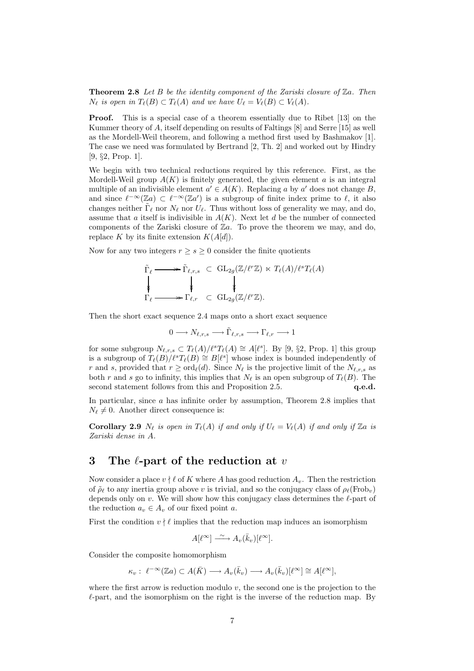**Theorem 2.8** Let B be the identity component of the Zariski closure of  $\mathbb{Z}_a$ . Then  $N_{\ell}$  is open in  $T_{\ell}(B) \subset T_{\ell}(A)$  and we have  $U_{\ell} = V_{\ell}(B) \subset V_{\ell}(A)$ .

Proof. This is a special case of a theorem essentially due to Ribet [13] on the Kummer theory of A, itself depending on results of Faltings [8] and Serre [15] as well as the Mordell-Weil theorem, and following a method first used by Bashmakov [1]. The case we need was formulated by Bertrand [2, Th. 2] and worked out by Hindry [9, §2, Prop. 1].

We begin with two technical reductions required by this reference. First, as the Mordell-Weil group  $A(K)$  is finitely generated, the given element a is an integral multiple of an indivisible element  $a' \in A(K)$ . Replacing a by a' does not change B, and since  $\ell^{-\infty}(\mathbb{Z}_a) \subset \ell^{-\infty}(\mathbb{Z}_a)$  is a subgroup of finite index prime to  $\ell$ , it also changes neither  $\tilde{\Gamma}_{\ell}$  nor  $N_{\ell}$  nor  $U_{\ell}$ . Thus without loss of generality we may, and do, assume that a itself is indivisible in  $A(K)$ . Next let d be the number of connected components of the Zariski closure of  $\mathbb{Z}a$ . To prove the theorem we may, and do, replace K by its finite extension  $K(A[d])$ .

Now for any two integers  $r \geq s \geq 0$  consider the finite quotients

$$
\tilde{\Gamma}_{\ell} \longrightarrow \tilde{\Gamma}_{\ell,r,s} \subset \mathrm{GL}_{2g}(\mathbb{Z}/\ell^{r}\mathbb{Z}) \ltimes T_{\ell}(A)/\ell^{s}T_{\ell}(A)
$$
\n
$$
\downarrow \qquad \qquad \downarrow \qquad \qquad \downarrow
$$
\n
$$
\Gamma_{\ell} \longrightarrow \Gamma_{\ell,r} \subset \mathrm{GL}_{2g}(\mathbb{Z}/\ell^{r}\mathbb{Z}).
$$

Then the short exact sequence 2.4 maps onto a short exact sequence

$$
0 \longrightarrow N_{\ell,r,s} \longrightarrow \tilde{\Gamma}_{\ell,r,s} \longrightarrow \Gamma_{\ell,r} \longrightarrow 1
$$

for some subgroup  $N_{\ell,r,s} \subset T_{\ell}(A)/\ell^sT_{\ell}(A) \cong A[\ell^s]$ . By [9, §2, Prop. 1] this group is a subgroup of  $T_{\ell}(B)/\ell^sT_{\ell}(B) \cong B[\ell^s]$  whose index is bounded independently of r and s, provided that  $r \geq \text{ord}_{\ell}(d)$ . Since  $N_{\ell}$  is the projective limit of the  $N_{\ell,r,s}$  as both r and s go to infinity, this implies that  $N_{\ell}$  is an open subgroup of  $T_{\ell}(B)$ . The second statement follows from this and Proposition 2.5. **q.e.d.** 

In particular, since  $a$  has infinite order by assumption, Theorem 2.8 implies that  $N_{\ell} \neq 0$ . Another direct consequence is:

**Corollary 2.9**  $N_{\ell}$  is open in  $T_{\ell}(A)$  if and only if  $U_{\ell} = V_{\ell}(A)$  if and only if Za is Zariski dense in A.

## 3 The  $\ell$ -part of the reduction at v

Now consider a place  $v \nmid \ell$  of K where A has good reduction  $A_v$ . Then the restriction of  $\rho_\ell$  to any inertia group above v is trivial, and so the conjugacy class of  $\rho_\ell(\text{Frob}_v)$ depends only on  $v$ . We will show how this conjugacy class determines the  $\ell$ -part of the reduction  $a_v \in A_v$  of our fixed point a.

First the condition  $v \nmid \ell$  implies that the reduction map induces an isomorphism

$$
A[\ell^{\infty}] \xrightarrow{\sim} A_v(\bar{k}_v)[\ell^{\infty}].
$$

Consider the composite homomorphism

$$
\kappa_v: \ \ell^{-\infty}(\mathbb{Z}a) \subset A(\bar{K}) \longrightarrow A_v(\bar{k}_v) \longrightarrow A_v(\bar{k}_v)[\ell^{\infty}] \cong A[\ell^{\infty}],
$$

where the first arrow is reduction modulo  $v$ , the second one is the projection to the  $\ell$ -part, and the isomorphism on the right is the inverse of the reduction map. By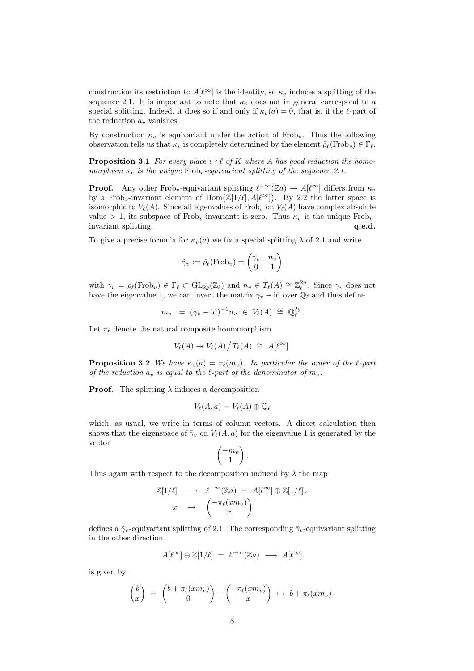construction its restriction to  $A[\ell^{\infty}]$  is the identity, so  $\kappa_v$  induces a splitting of the sequence 2.1. It is important to note that  $\kappa_v$  does not in general correspond to a special splitting. Indeed, it does so if and only if  $\kappa_v(a) = 0$ , that is, if the  $\ell$ -part of the reduction  $a<sub>v</sub>$  vanishes.

By construction  $\kappa_v$  is equivariant under the action of Frob<sub>v</sub>. Thus the following observation tells us that  $\kappa_v$  is completely determined by the element  $\tilde{\rho}_{\ell}(\text{Frob}_v) \in \tilde{\Gamma}_{\ell}$ .

**Proposition 3.1** For every place  $v \nmid \ell$  of K where A has good reduction the homomorphism  $\kappa_v$  is the unique Frob<sub>v</sub>-equivariant splitting of the sequence 2.1.

**Proof.** Any other Frob<sub>v</sub>-equivariant splitting  $\ell^{-\infty}(\mathbb{Z}_d) \to A[\ell^{\infty}]$  differs from  $\kappa_v$ by a Frob<sub>v</sub>-invariant element of  $\text{Hom}(\mathbb{Z}[1/\ell], A[\ell^{\infty}])$ . By 2.2 the latter space is isomorphic to  $V_{\ell}(A)$ . Since all eigenvalues of Frob<sub>v</sub> on  $V_{\ell}(A)$  have complex absolute value > 1, its subspace of Frob<sub>v</sub>-invariants is zero. Thus  $\kappa_v$  is the unique Frob<sub>v</sub>invariant splitting.  $q.e.d.$ 

To give a precise formula for  $\kappa_v(a)$  we fix a special splitting  $\lambda$  of 2.1 and write

$$
\tilde{\gamma}_v := \tilde{\rho}_{\ell}(\text{Frob}_v) = \begin{pmatrix} \gamma_v & n_v \\ 0 & 1 \end{pmatrix}
$$

with  $\gamma_v = \rho_\ell(\text{Frob}_v) \in \Gamma_\ell \subset \text{GL}_{2g}(\mathbb{Z}_\ell)$  and  $n_v \in T_\ell(A) \cong \mathbb{Z}_\ell^{2g}$ . Since  $\gamma_v$  does not have the eigenvalue 1, we can invert the matrix  $\gamma_v$  – id over  $\mathbb{Q}_\ell$  and thus define

$$
m_v \; := \; (\gamma_v - \mathrm{id})^{-1} n_v \; \in \; V_\ell(A) \; \cong \; \mathbb{Q}_\ell^{2g}.
$$

Let  $\pi_{\ell}$  denote the natural composite homomorphism

$$
V_{\ell}(A) \twoheadrightarrow V_{\ell}(A) / T_{\ell}(A) \cong A[\ell^{\infty}].
$$

**Proposition 3.2** We have  $\kappa_v(a) = \pi_{\ell}(m_v)$ . In particular the order of the  $\ell$ -part of the reduction  $a_v$  is equal to the  $\ell$ -part of the denominator of  $m_v$ .

**Proof.** The splitting  $\lambda$  induces a decomposition

$$
V_{\ell}(A,a) = V_{\ell}(A) \oplus \mathbb{Q}_{\ell}
$$

which, as usual, we write in terms of column vectors. A direct calculation then shows that the eigenspace of  $\tilde{\gamma}_v$  on  $V_{\ell}(A, a)$  for the eigenvalue 1 is generated by the vector

$$
\begin{pmatrix} -m_v \\ 1 \end{pmatrix}.
$$

Thus again with respect to the decomposition induced by  $\lambda$  the map

$$
\mathbb{Z}[1/\ell] \longrightarrow \ell^{-\infty}(\mathbb{Z}a) = A[\ell^{\infty}] \oplus \mathbb{Z}[1/\ell],
$$
  

$$
x \mapsto \begin{pmatrix} -\pi_{\ell}(xm_v) \\ x \end{pmatrix}
$$

defines a  $\tilde{\gamma}_v$ -equivariant splitting of 2.1. The corresponding  $\tilde{\gamma}_v$ -equivariant splitting in the other direction

$$
A[\ell^{\infty}] \oplus \mathbb{Z}[1/\ell] \ = \ \ell^{-\infty}(\mathbb{Z}a) \ \longrightarrow \ A[\ell^{\infty}]
$$

is given by

$$
\begin{pmatrix} b \\ x \end{pmatrix} = \begin{pmatrix} b + \pi_{\ell}(xm_v) \\ 0 \end{pmatrix} + \begin{pmatrix} -\pi_{\ell}(xm_v) \\ x \end{pmatrix} \mapsto b + \pi_{\ell}(xm_v).
$$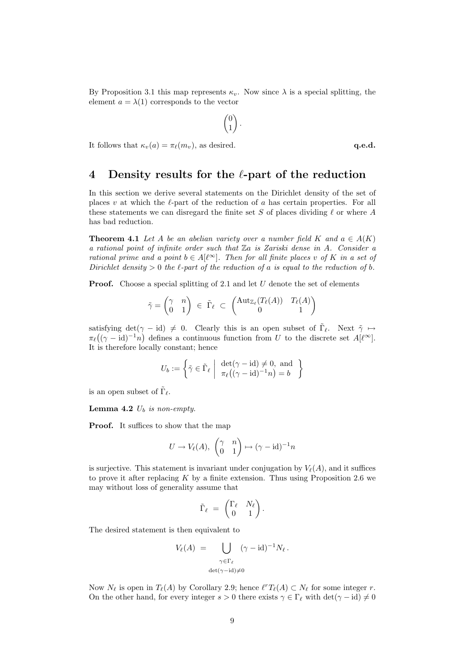By Proposition 3.1 this map represents  $\kappa_v$ . Now since  $\lambda$  is a special splitting, the element  $a = \lambda(1)$  corresponds to the vector

$$
\begin{pmatrix} 0 \\ 1 \end{pmatrix}.
$$

It follows that  $\kappa_v(a) = \pi_\ell(m_v)$ , as desired. q.e.d.

## 4 Density results for the  $\ell$ -part of the reduction

In this section we derive several statements on the Dirichlet density of the set of places v at which the  $\ell$ -part of the reduction of a has certain properties. For all these statements we can disregard the finite set S of places dividing  $\ell$  or where A has bad reduction.

**Theorem 4.1** Let A be an abelian variety over a number field K and  $a \in A(K)$ a rational point of infinite order such that Za is Zariski dense in A. Consider a rational prime and a point  $b \in A[\ell^{\infty}]$ . Then for all finite places v of K in a set of Dirichlet density  $> 0$  the  $\ell$ -part of the reduction of a is equal to the reduction of b.

**Proof.** Choose a special splitting of 2.1 and let  $U$  denote the set of elements

$$
\tilde{\gamma} = \begin{pmatrix} \gamma & n \\ 0 & 1 \end{pmatrix} \in \tilde{\Gamma}_{\ell} \subset \begin{pmatrix} \mathrm{Aut}_{\mathbb{Z}_{\ell}}(T_{\ell}(A)) & T_{\ell}(A) \\ 0 & 1 \end{pmatrix}
$$

satisfying  $det(\gamma - id) \neq 0$ . Clearly this is an open subset of  $\tilde{\Gamma}_{\ell}$ . Next  $\tilde{\gamma} \mapsto$  $\pi_{\ell}((\gamma - \mathrm{id})^{-1}n)$  defines a continuous function from U to the discrete set  $A[\ell^{\infty}]$ . It is therefore locally constant; hence

$$
U_b := \left\{ \tilde{\gamma} \in \tilde{\Gamma}_{\ell} \middle| \begin{array}{c} \det(\gamma - \mathrm{id}) \neq 0, \text{ and} \\ \pi_{\ell}((\gamma - \mathrm{id})^{-1}n) = b \end{array} \right\}
$$

is an open subset of  $\tilde{\Gamma}_{\ell}$ .

**Lemma 4.2**  $U_b$  is non-empty.

Proof. It suffices to show that the map

$$
U \to V_{\ell}(A), \begin{pmatrix} \gamma & n \\ 0 & 1 \end{pmatrix} \mapsto (\gamma - \mathrm{id})^{-1}n
$$

is surjective. This statement is invariant under conjugation by  $V_{\ell}(A)$ , and it suffices to prove it after replacing  $K$  by a finite extension. Thus using Proposition 2.6 we may without loss of generality assume that

$$
\tilde{\Gamma}_{\ell} = \begin{pmatrix} \Gamma_{\ell} & N_{\ell} \\ 0 & 1 \end{pmatrix}.
$$

The desired statement is then equivalent to

$$
V_{\ell}(A) = \bigcup_{\substack{\gamma \in \Gamma_{\ell} \\ \det(\gamma - \mathrm{id}) \neq 0}} (\gamma - \mathrm{id})^{-1} N_{\ell}.
$$

Now  $N_{\ell}$  is open in  $T_{\ell}(A)$  by Corollary 2.9; hence  $\ell^{r}T_{\ell}(A) \subset N_{\ell}$  for some integer r. On the other hand, for every integer  $s > 0$  there exists  $\gamma \in \Gamma_\ell$  with  $\det(\gamma - id) \neq 0$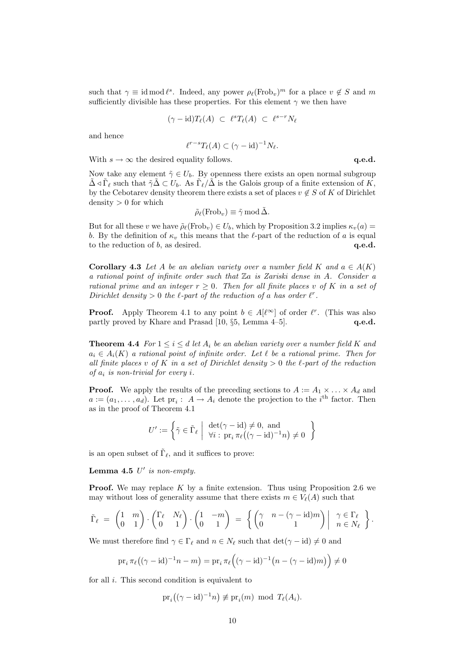such that  $\gamma \equiv \text{id mod } \ell^s$ . Indeed, any power  $\rho_\ell(\text{Frob}_v)^m$  for a place  $v \notin S$  and m sufficiently divisible has these properties. For this element  $\gamma$  we then have

$$
(\gamma - \mathrm{id})T_{\ell}(A) \ \subset \ \ell^s T_{\ell}(A) \ \subset \ \ell^{s-r} N_{\ell}
$$

and hence

$$
\ell^{r-s}T_{\ell}(A) \subset (\gamma - \mathrm{id})^{-1}N_{\ell}.
$$

With  $s \to \infty$  the desired equality follows.  $q.e.d.$ 

Now take any element  $\tilde{\gamma} \in U_b$ . By openness there exists an open normal subgroup  $\tilde{\Delta} \triangleleft \tilde{\Gamma}_{\ell}$  such that  $\tilde{\gamma} \tilde{\Delta} \subset U_b$ . As  $\tilde{\Gamma}_{\ell}/\tilde{\Delta}$  is the Galois group of a finite extension of K, by the Cebotarev density theorem there exists a set of places  $v \notin S$  of K of Dirichlet density  $> 0$  for which

$$
\tilde{\rho}_{\ell}(\text{Frob}_{v}) \equiv \tilde{\gamma} \text{ mod } \tilde{\Delta}.
$$

But for all these v we have  $\tilde{\rho}_{\ell}(\text{Frob}_{v}) \in U_b$ , which by Proposition 3.2 implies  $\kappa_v(a)$  = b. By the definition of  $\kappa_v$  this means that the  $\ell$ -part of the reduction of a is equal to the reduction of  $b$ , as desired.  $q.e.d.$ 

**Corollary 4.3** Let A be an abelian variety over a number field K and  $a \in A(K)$ a rational point of infinite order such that  $\mathbb{Z}$ a is Zariski dense in A. Consider a rational prime and an integer  $r \geq 0$ . Then for all finite places v of K in a set of Dirichlet density  $> 0$  the  $\ell$ -part of the reduction of a has order  $\ell^r$ .

**Proof.** Apply Theorem 4.1 to any point  $b \in A[\ell^{\infty}]$  of order  $\ell^{r}$ . (This was also partly proved by Khare and Prasad [10,  $\S5$ , Lemma 4–5]. **q.e.d.** 

**Theorem 4.4** For  $1 \leq i \leq d$  let  $A_i$  be an abelian variety over a number field K and  $a_i \in A_i(K)$  a rational point of infinite order. Let  $\ell$  be a rational prime. Then for all finite places v of K in a set of Dirichlet density  $> 0$  the  $\ell$ -part of the reduction of  $a_i$  is non-trivial for every i.

**Proof.** We apply the results of the preceding sections to  $A := A_1 \times \ldots \times A_d$  and  $a := (a_1, \dots, a_d)$ . Let  $\text{pr}_i: A \to A_i$  denote the projection to the i<sup>th</sup> factor. Then as in the proof of Theorem 4.1

$$
U' := \left\{ \tilde{\gamma} \in \tilde{\Gamma}_{\ell} \middle| \begin{array}{c} \det(\gamma - \mathrm{id}) \neq 0, \text{ and} \\ \forall i : \mathrm{pr}_{i} \pi_{\ell}((\gamma - \mathrm{id})^{-1}n) \neq 0 \end{array} \right\}
$$

is an open subset of  $\tilde{\Gamma}_{\ell}$ , and it suffices to prove:

Lemma 4.5  $U'$  is non-empty.

**Proof.** We may replace  $K$  by a finite extension. Thus using Proposition 2.6 we may without loss of generality assume that there exists  $m \in V_{\ell}(A)$  such that

$$
\tilde{\Gamma}_{\ell} = \begin{pmatrix} 1 & m \\ 0 & 1 \end{pmatrix} \cdot \begin{pmatrix} \Gamma_{\ell} & N_{\ell} \\ 0 & 1 \end{pmatrix} \cdot \begin{pmatrix} 1 & -m \\ 0 & 1 \end{pmatrix} = \left\{ \begin{pmatrix} \gamma & n - (\gamma - \text{id})m \\ 0 & 1 \end{pmatrix} \middle| \begin{array}{c} \gamma \in \Gamma_{\ell} \\ n \in N_{\ell} \end{array} \right\}.
$$

We must therefore find  $\gamma \in \Gamma_\ell$  and  $n \in N_\ell$  such that  $\det(\gamma - \mathrm{id}) \neq 0$  and

$$
\mathrm{pr}_{i} \pi_{\ell} \big( (\gamma - \mathrm{id})^{-1} n - m \big) = \mathrm{pr}_{i} \pi_{\ell} \Big( (\gamma - \mathrm{id})^{-1} \big( n - (\gamma - \mathrm{id}) m \big) \Big) \neq 0
$$

for all *i*. This second condition is equivalent to

$$
\mathrm{pr}_i((\gamma - \mathrm{id})^{-1}n) \not\equiv \mathrm{pr}_i(m) \mod T_{\ell}(A_i).
$$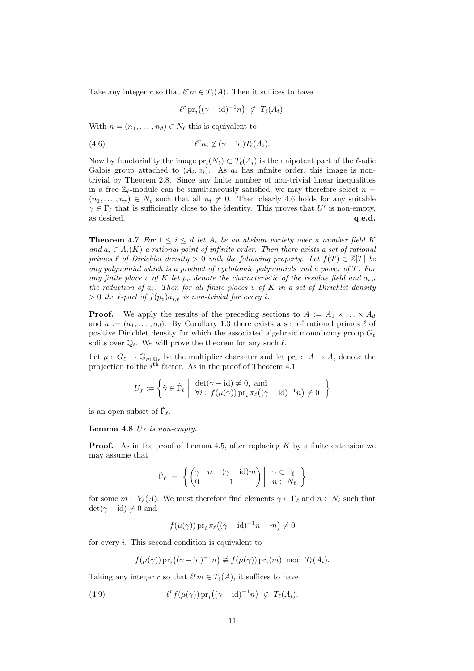Take any integer r so that  $\ell^r m \in T_{\ell}(A)$ . Then it suffices to have

$$
\ell^r \operatorname{pr}_i((\gamma - \mathrm{id})^{-1}n) \not\in T_{\ell}(A_i).
$$

With  $n = (n_1, \ldots, n_d) \in N_\ell$  this is equivalent to

(4.6) 
$$
\ell^r n_i \notin (\gamma - \mathrm{id}) T_{\ell}(A_i).
$$

Now by functoriality the image  $pr_i(N_\ell) \subset T_\ell(A_i)$  is the unipotent part of the  $\ell$ -adic Galois group attached to  $(A_i, a_i)$ . As  $a_i$  has infinite order, this image is nontrivial by Theorem 2.8. Since any finite number of non-trivial linear inequalities in a free  $\mathbb{Z}_r$ -module can be simultaneously satisfied, we may therefore select  $n =$  $(n_1, \ldots, n_r) \in N_\ell$  such that all  $n_i \neq 0$ . Then clearly 4.6 holds for any suitable  $\gamma \in \Gamma_\ell$  that is sufficiently close to the identity. This proves that U' is non-empty, as desired. **q.e.d. q.e.d.** 

**Theorem 4.7** For  $1 \leq i \leq d$  let  $A_i$  be an abelian variety over a number field K and  $a_i \in A_i(K)$  a rational point of infinite order. Then there exists a set of rational primes  $\ell$  of Dirichlet density > 0 with the following property. Let  $f(T) \in \mathbb{Z}[T]$  be any polynomial which is a product of cyclotomic polynomials and a power of  $T$ . For any finite place v of K let  $p_v$  denote the characteristic of the residue field and  $a_{i,v}$ the reduction of  $a_i$ . Then for all finite places v of K in a set of Dirichlet density  $> 0$  the  $\ell$ -part of  $f(p_v)a_{i,v}$  is non-trivial for every i.

**Proof.** We apply the results of the preceding sections to  $A := A_1 \times \ldots \times A_d$ and  $a := (a_1, \ldots, a_d)$ . By Corollary 1.3 there exists a set of rational primes  $\ell$  of positive Dirichlet density for which the associated algebraic monodromy group  $G_{\ell}$ splits over  $\mathbb{Q}_\ell$ . We will prove the theorem for any such  $\ell$ .

Let  $\mu: G_{\ell} \to \mathbb{G}_{m,\mathbb{Q}_{\ell}}$  be the multiplier character and let  $\text{pr}_i: A \to A_i$  denote the projection to the  $i<sup>th</sup>$  factor. As in the proof of Theorem 4.1

$$
U_f := \left\{ \tilde{\gamma} \in \tilde{\Gamma}_{\ell} \middle| \begin{array}{l} \det(\gamma - \mathrm{id}) \neq 0, \text{ and} \\ \forall i : f(\mu(\gamma)) \operatorname{pr}_i \pi_{\ell}((\gamma - \mathrm{id})^{-1}n) \neq 0 \end{array} \right\}
$$

is an open subset of  $\tilde{\Gamma}_{\ell}$ .

**Lemma 4.8**  $U_f$  is non-empty.

**Proof.** As in the proof of Lemma 4.5, after replacing  $K$  by a finite extension we may assume that

$$
\tilde{\Gamma}_{\ell} = \left\{ \begin{pmatrix} \gamma & n - (\gamma - \mathrm{id})m \\ 0 & 1 \end{pmatrix} \middle| \begin{array}{c} \gamma \in \Gamma_{\ell} \\ n \in N_{\ell} \end{array} \right\}
$$

for some  $m \in V_{\ell}(A)$ . We must therefore find elements  $\gamma \in \Gamma_{\ell}$  and  $n \in N_{\ell}$  such that  $\det(\gamma - \mathrm{id}) \neq 0$  and

$$
f(\mu(\gamma)) \operatorname{pr}_i \pi_\ell((\gamma - \mathrm{id})^{-1}n - m) \neq 0
$$

for every  $i$ . This second condition is equivalent to

$$
f(\mu(\gamma))
$$
pr<sub>i</sub> $((\gamma - id)^{-1}n) \not\equiv f(\mu(\gamma))$ pr<sub>i</sub> $(m)$  mod  $T_{\ell}(A_i)$ .

Taking any integer r so that  $\ell^r m \in T_{\ell}(A)$ , it suffices to have

(4.9) 
$$
\ell^r f(\mu(\gamma)) \operatorname{pr}_i((\gamma - \mathrm{id})^{-1} n) \not\in T_{\ell}(A_i).
$$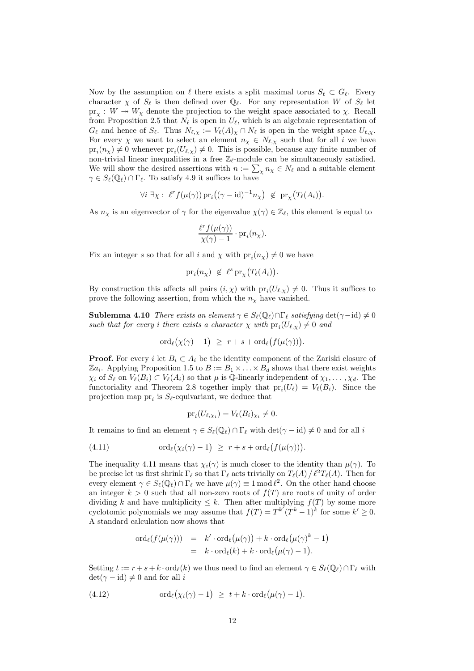Now by the assumption on  $\ell$  there exists a split maximal torus  $S_{\ell} \subset G_{\ell}$ . Every character  $\chi$  of  $S_\ell$  is then defined over  $\mathbb{Q}_\ell$ . For any representation W of  $S_\ell$  let  $pr_{\chi}: W \twoheadrightarrow W_{\chi}$  denote the projection to the weight space associated to  $\chi$ . Recall from Proposition 2.5 that  $N_\ell$  is open in  $U_\ell$ , which is an algebraic representation of  $G_{\ell}$  and hence of  $S_{\ell}$ . Thus  $N_{\ell,\chi} := V_{\ell}(A)_{\chi} \cap N_{\ell}$  is open in the weight space  $U_{\ell,\chi}$ . For every  $\chi$  we want to select an element  $n_{\chi} \in N_{\ell,\chi}$  such that for all i we have  $pr_i(n_\chi) \neq 0$  whenever  $pr_i(U_{\ell,\chi}) \neq 0$ . This is possible, because any finite number of non-trivial linear inequalities in a free  $\mathbb{Z}_{\ell}$ -module can be simultaneously satisfied. We will show the desired assertions with  $n := \sum_{\chi} n_{\chi} \in N_{\ell}$  and a suitable element  $\gamma \in S_{\ell}(\mathbb{Q}_{\ell}) \cap \Gamma_{\ell}$ . To satisfy 4.9 it suffices to have

$$
\forall i \; \exists \chi: \; \ell^r f(\mu(\gamma)) \operatorname{pr}_i((\gamma - \mathrm{id})^{-1} n_\chi) \; \notin \; \operatorname{pr}_\chi \big( T_\ell(A_i) \big).
$$

As  $n_\chi$  is an eigenvector of  $\gamma$  for the eigenvalue  $\chi(\gamma) \in \mathbb{Z}_\ell$ , this element is equal to

$$
\frac{\ell^r f(\mu(\gamma))}{\chi(\gamma) - 1} \cdot \mathrm{pr}_i(n_\chi).
$$

Fix an integer s so that for all i and  $\chi$  with  $pr_i(n_\chi) \neq 0$  we have

 $\mathrm{pr}_i(n_\chi) \notin \ell^s \mathrm{pr}_\chi(T_\ell(A_i)).$ 

By construction this affects all pairs  $(i, \chi)$  with  $pr_i(U_{\ell,\chi}) \neq 0$ . Thus it suffices to prove the following assertion, from which the  $n<sub>\chi</sub>$  have vanished.

**Sublemma 4.10** There exists an element  $\gamma \in S_{\ell}(\mathbb{Q}_{\ell}) \cap \Gamma_{\ell}$  satisfying det( $\gamma$ -id)  $\neq 0$ such that for every i there exists a character  $\chi$  with  $pr_i(U_{\ell,\chi}) \neq 0$  and

$$
\mathrm{ord}_{\ell}(\chi(\gamma)-1) \geq r+s+\mathrm{ord}_{\ell}(f(\mu(\gamma))).
$$

**Proof.** For every i let  $B_i \subset A_i$  be the identity component of the Zariski closure of  $\mathbb{Z}a_i$ . Applying Proposition 1.5 to  $B := B_1 \times \ldots \times B_d$  shows that there exist weights  $\chi_i$  of  $S_\ell$  on  $V_\ell(B_i) \subset V_\ell(A_i)$  so that  $\mu$  is Q-linearly independent of  $\chi_1, \ldots, \chi_d$ . The functoriality and Theorem 2.8 together imply that  $pr_i(U_\ell) = V_\ell(B_i)$ . Since the projection map  $pr_i$  is  $S_{\ell}$ -equivariant, we deduce that

$$
\mathrm{pr}_i(U_{\ell,\chi_i})=V_{\ell}(B_i)_{\chi_i}\neq 0.
$$

It remains to find an element  $\gamma \in S_{\ell}(\mathbb{Q}_{\ell}) \cap \Gamma_{\ell}$  with  $\det(\gamma - id) \neq 0$  and for all i

(4.11) 
$$
\operatorname{ord}_{\ell}(\chi_i(\gamma)-1) \geq r+s+\operatorname{ord}_{\ell}(f(\mu(\gamma))).
$$

The inequality 4.11 means that  $\chi_i(\gamma)$  is much closer to the identity than  $\mu(\gamma)$ . To be precise let us first shrink  $\Gamma_\ell$  so that  $\Gamma_\ell$  acts trivially on  $T_\ell(A)/\ell^2T_\ell(A)$ . Then for every element  $\gamma \in S_{\ell}(\mathbb{Q}_{\ell}) \cap \Gamma_{\ell}$  we have  $\mu(\gamma) \equiv 1 \mod \ell^2$ . On the other hand choose an integer  $k > 0$  such that all non-zero roots of  $f(T)$  are roots of unity of order dividing k and have multiplicity  $\leq k$ . Then after multiplying  $f(T)$  by some more cyclotomic polynomials we may assume that  $f(T) = T^{k'}(T^{k} - 1)^{k}$  for some  $k' \ge 0$ . A standard calculation now shows that

$$
\begin{array}{rcl}\n\text{ord}_{\ell}(f(\mu(\gamma))) & = & k' \cdot \text{ord}_{\ell}(\mu(\gamma)) + k \cdot \text{ord}_{\ell}(\mu(\gamma)^k - 1) \\
& = & k \cdot \text{ord}_{\ell}(k) + k \cdot \text{ord}_{\ell}(\mu(\gamma) - 1).\n\end{array}
$$

Setting  $t := r + s + k \cdot \text{ord}_{\ell}(k)$  we thus need to find an element  $\gamma \in S_{\ell}(\mathbb{Q}_{\ell}) \cap \Gamma_{\ell}$  with  $\det(\gamma - \mathrm{id}) \neq 0$  and for all i

(4.12) 
$$
\operatorname{ord}_{\ell}(\chi_i(\gamma)-1) \geq t+k \cdot \operatorname{ord}_{\ell}(\mu(\gamma)-1).
$$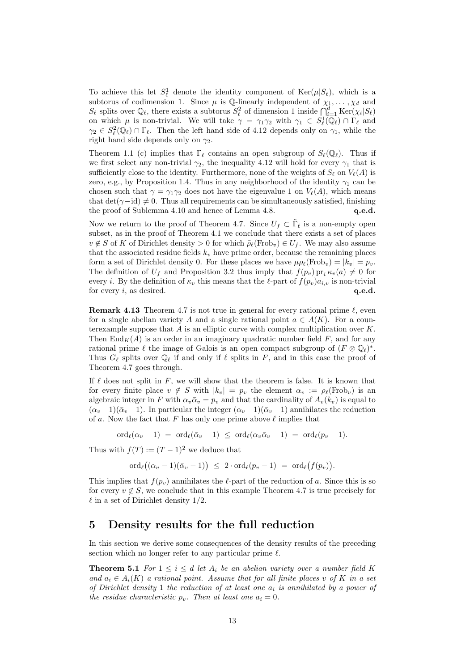To achieve this let  $S_{\ell}^1$  denote the identity component of  $\text{Ker}(\mu|S_{\ell}),$  which is a subtorus of codimension 1. Since  $\mu$  is Q-linearly independent of  $\chi_1, \ldots, \chi_d$  and  $S_\ell$  splits over  $\mathbb{Q}_\ell$ , there exists a subtorus  $S_\ell^2$  of dimension 1 inside  $\bigcap_{i=1}^d \text{Ker}(\chi_i|S_\ell)$ on which  $\mu$  is non-trivial. We will take  $\gamma = \gamma_1 \gamma_2$  with  $\gamma_1 \in S^1_{\ell}(\mathbb{Q}_{\ell}) \cap \Gamma_{\ell}$  and  $\gamma_2 \in S^2_{\ell}(\mathbb{Q}_{\ell}) \cap \Gamma_{\ell}$ . Then the left hand side of 4.12 depends only on  $\gamma_1$ , while the right hand side depends only on  $\gamma_2$ .

Theorem 1.1 (c) implies that  $\Gamma_\ell$  contains an open subgroup of  $S_\ell(\mathbb{Q}_\ell)$ . Thus if we first select any non-trivial  $\gamma_2$ , the inequality 4.12 will hold for every  $\gamma_1$  that is sufficiently close to the identity. Furthermore, none of the weights of  $S_\ell$  on  $V_\ell(A)$  is zero, e.g., by Proposition 1.4. Thus in any neighborhood of the identity  $\gamma_1$  can be chosen such that  $\gamma = \gamma_1 \gamma_2$  does not have the eigenvalue 1 on  $V_{\ell}(A)$ , which means that det( $\gamma$ −id)  $\neq$  0. Thus all requirements can be simultaneously satisfied, finishing the proof of Sublemma 4.10 and hence of Lemma 4.8. **q.e.d.** 

Now we return to the proof of Theorem 4.7. Since  $U_f \subset \tilde{\Gamma}_\ell$  is a non-empty open subset, as in the proof of Theorem 4.1 we conclude that there exists a set of places  $v \notin S$  of K of Dirichlet density  $> 0$  for which  $\tilde{\rho}_{\ell}(\text{Frob}_{v}) \in U_f$ . We may also assume that the associated residue fields  $k_v$  have prime order, because the remaining places form a set of Dirichlet density 0. For these places we have  $\mu \rho_{\ell}(\text{Frob}_{v}) = |k_v| = p_v$ . The definition of  $U_f$  and Proposition 3.2 thus imply that  $f(p_v)$  pr<sub>i</sub> $\kappa_v(a) \neq 0$  for every i. By the definition of  $\kappa_v$  this means that the  $\ell$ -part of  $f(p_v)a_{i,v}$  is non-trivial for every  $i$ , as desired.  $q.e.d.$ 

**Remark 4.13** Theorem 4.7 is not true in general for every rational prime  $\ell$ , even for a single abelian variety A and a single rational point  $a \in A(K)$ . For a counterexample suppose that  $A$  is an elliptic curve with complex multiplication over  $K$ . Then  $\text{End}_K(A)$  is an order in an imaginary quadratic number field F, and for any rational prime  $\ell$  the image of Galois is an open compact subgroup of  $(F \otimes \mathbb{Q}_\ell)^*$ . Thus  $G_\ell$  splits over  $\mathbb{Q}_\ell$  if and only if  $\ell$  splits in F, and in this case the proof of Theorem 4.7 goes through.

If  $\ell$  does not split in F, we will show that the theorem is false. It is known that for every finite place  $v \notin S$  with  $|k_v| = p_v$  the element  $\alpha_v := \rho_\ell(\text{Frob}_v)$  is an algebraic integer in F with  $\alpha_v \bar{\alpha}_v = p_v$  and that the cardinality of  $A_v(k_v)$  is equal to  $(\alpha_v - 1)(\bar{\alpha}_v - 1)$ . In particular the integer  $(\alpha_v - 1)(\bar{\alpha}_v - 1)$  annihilates the reduction of a. Now the fact that F has only one prime above  $\ell$  implies that

 $\text{ord}_{\ell}(\alpha_v - 1) = \text{ord}_{\ell}(\bar{\alpha}_v - 1) \leq \text{ord}_{\ell}(\alpha_v\bar{\alpha}_v - 1) = \text{ord}_{\ell}(p_v - 1).$ 

Thus with  $f(T) := (T - 1)^2$  we deduce that

 $\mathrm{ord}_\ell\big((\alpha_v-1)(\bar\alpha_v-1)\big)\;\leq\; 2\cdot\mathrm{ord}_\ell(p_v-1)\;=\;\mathrm{ord}_\ell\big(f(p_v)\big).$ 

This implies that  $f(p_v)$  annihilates the  $\ell$ -part of the reduction of a. Since this is so for every  $v \notin S$ , we conclude that in this example Theorem 4.7 is true precisely for  $\ell$  in a set of Dirichlet density 1/2.

### 5 Density results for the full reduction

In this section we derive some consequences of the density results of the preceding section which no longer refer to any particular prime  $\ell$ .

**Theorem 5.1** For  $1 \leq i \leq d$  let  $A_i$  be an abelian variety over a number field K and  $a_i \in A_i(K)$  a rational point. Assume that for all finite places v of K in a set of Dirichlet density 1 the reduction of at least one  $a_i$  is annihilated by a power of the residue characteristic  $p_v$ . Then at least one  $a_i = 0$ .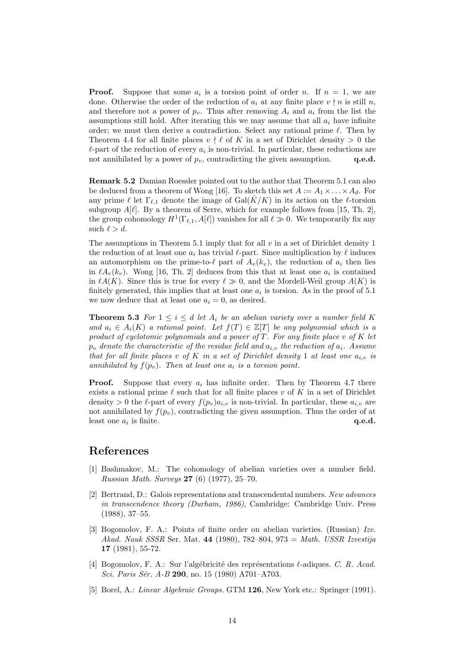**Proof.** Suppose that some  $a_i$  is a torsion point of order n. If  $n = 1$ , we are done. Otherwise the order of the reduction of  $a_i$  at any finite place  $v \nmid n$  is still n, and therefore not a power of  $p_v$ . Thus after removing  $A_i$  and  $a_i$  from the list the assumptions still hold. After iterating this we may assume that all  $a_i$  have infinite order; we must then derive a contradiction. Select any rational prime  $\ell$ . Then by Theorem 4.4 for all finite places  $v \nmid \ell$  of K in a set of Dirichlet density  $> 0$  the  $\ell$ -part of the reduction of every  $a_i$  is non-trivial. In particular, these reductions are not annihilated by a power of  $p_v$ , contradicting the given assumption.  $q.e.d.$ 

Remark 5.2 Damian Roessler pointed out to the author that Theorem 5.1 can also be deduced from a theorem of Wong [16]. To sketch this set  $A := A_1 \times \ldots \times A_d$ . For any prime  $\ell$  let  $\Gamma_{\ell,1}$  denote the image of  $Gal(\bar{K}/K)$  in its action on the  $\ell$ -torsion subgroup  $A[\ell]$ . By a theorem of Serre, which for example follows from [15, Th. 2], the group cohomology  $H^1(\Gamma_{\ell,1}, A[\ell])$  vanishes for all  $\ell \gg 0$ . We temporarily fix any such  $\ell > d$ .

The assumptions in Theorem 5.1 imply that for all  $v$  in a set of Dirichlet density 1 the reduction of at least one  $a_i$  has trivial  $\ell$ -part. Since multiplication by  $\ell$  induces an automorphism on the prime-to- $\ell$  part of  $A_v(k_v)$ , the reduction of  $a_i$  then lies in  $\ell A_v(k_v)$ . Wong [16, Th. 2] deduces from this that at least one  $a_i$  is contained in  $\ell A(K)$ . Since this is true for every  $\ell \gg 0$ , and the Mordell-Weil group  $A(K)$  is finitely generated, this implies that at least one  $a_i$  is torsion. As in the proof of 5.1 we now deduce that at least one  $a_i = 0$ , as desired.

**Theorem 5.3** For  $1 \leq i \leq d$  let  $A_i$  be an abelian variety over a number field K and  $a_i \in A_i(K)$  a rational point. Let  $f(T) \in \mathbb{Z}[T]$  be any polynomial which is a product of cyclotomic polynomials and a power of  $T$ . For any finite place v of  $K$  let  $p_v$  denote the characteristic of the residue field and  $a_{i,v}$  the reduction of  $a_i$ . Assume that for all finite places v of K in a set of Dirichlet density 1 at least one  $a_{i,v}$  is annihilated by  $f(p_v)$ . Then at least one  $a_i$  is a torsion point.

**Proof.** Suppose that every  $a_i$  has infinite order. Then by Theorem 4.7 there exists a rational prime  $\ell$  such that for all finite places v of K in a set of Dirichlet density  $> 0$  the  $\ell$ -part of every  $f(p_v)a_{i,v}$  is non-trivial. In particular, these  $a_{i,v}$  are not annihilated by  $f(p_v)$ , contradicting the given assumption. Thus the order of at least one  $a_i$  is finite.  $q.e.d.$ 

## References

- [1] Bashmakov, M.: The cohomology of abelian varieties over a number field. Russian Math. Surveys 27 (6) (1977), 25–70.
- [2] Bertrand, D.: Galois representations and transcendental numbers. New advances in transcendence theory (Durham, 1986), Cambridge: Cambridge Univ. Press (1988), 37–55.
- [3] Bogomolov, F. A.: Points of finite order on abelian varieties. (Russian) Izv. Akad. Nauk SSSR Ser. Mat. 44 (1980), 782–804, 973 = Math. USSR Izvestija 17 (1981), 55-72.
- [4] Bogomolov, F. A.: Sur l'algébricité des représentations  $\ell$ -adiques. C. R. Acad. Sci. Paris Sér. A-B 290, no. 15 (1980) A701–A703.
- [5] Borel, A.: Linear Algebraic Groups. GTM 126, New York etc.: Springer (1991).